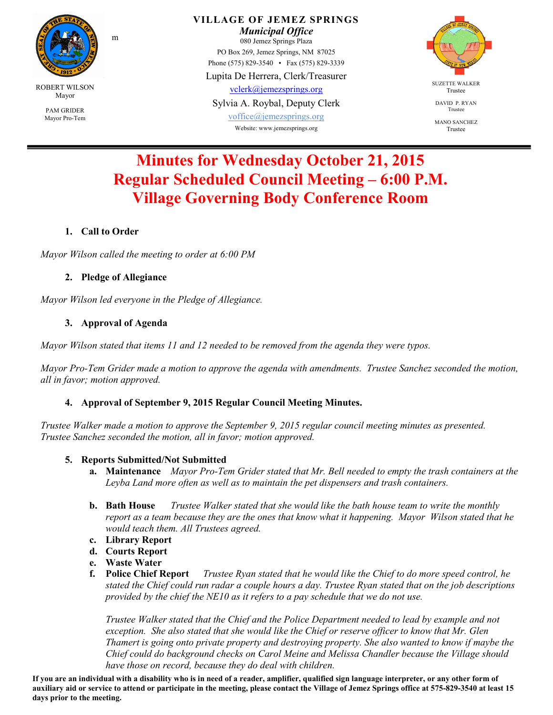

**VILLAGE OF JEMEZ SPRINGS**  *Municipal Office*  080 Jemez Springs Plaza PO Box 269, Jemez Springs, NM 87025 Phone (575) 829-3540 • Fax (575) 829-3339 Lupita De Herrera, Clerk/Treasurer vclerk@jemezsprings.org

Sylvia A. Roybal, Deputy Clerk

voffice@jemezsprings.org Website: www.jemezsprings.org



DAVID P. RYAN Trustee

MANO SANCHEZ Trustee

# **Minutes for Wednesday October 21, 2015 Regular Scheduled Council Meeting – 6:00 P.M. Village Governing Body Conference Room**

# **1. Call to Order**

*Mayor Wilson called the meeting to order at 6:00 PM*

#### **2. Pledge of Allegiance**

m

*Mayor Wilson led everyone in the Pledge of Allegiance.* 

# **3. Approval of Agenda**

*Mayor Wilson stated that items 11 and 12 needed to be removed from the agenda they were typos.* 

*Mayor Pro-Tem Grider made a motion to approve the agenda with amendments. Trustee Sanchez seconded the motion, all in favor; motion approved.* 

# **4. Approval of September 9, 2015 Regular Council Meeting Minutes.**

*Trustee Walker made a motion to approve the September 9, 2015 regular council meeting minutes as presented. Trustee Sanchez seconded the motion, all in favor; motion approved.* 

#### **5. Reports Submitted/Not Submitted**

- **a. Maintenance** *Mayor Pro-Tem Grider stated that Mr. Bell needed to empty the trash containers at the Leyba Land more often as well as to maintain the pet dispensers and trash containers.*
- **b. Bath House** *Trustee Walker stated that she would like the bath house team to write the monthly report as a team because they are the ones that know what it happening. Mayor Wilson stated that he would teach them. All Trustees agreed.*
- **c. Library Report**
- **d. Courts Report**
- 
- **e. Waste Water f. Police Chief Report** *Trustee Ryan stated that he would like the Chief to do more speed control, he stated the Chief could run radar a couple hours a day. Trustee Ryan stated that on the job descriptions provided by the chief the NE10 as it refers to a pay schedule that we do not use.*

*Trustee Walker stated that the Chief and the Police Department needed to lead by example and not exception. She also stated that she would like the Chief or reserve officer to know that Mr. Glen Thamert is going onto private property and destroying property. She also wanted to know if maybe the Chief could do background checks on Carol Meine and Melissa Chandler because the Village should have those on record, because they do deal with children.* 

**If you are an individual with a disability who is in need of a reader, amplifier, qualified sign language interpreter, or any other form of auxiliary aid or service to attend or participate in the meeting, please contact the Village of Jemez Springs office at 575-829-3540 at least 15 days prior to the meeting.**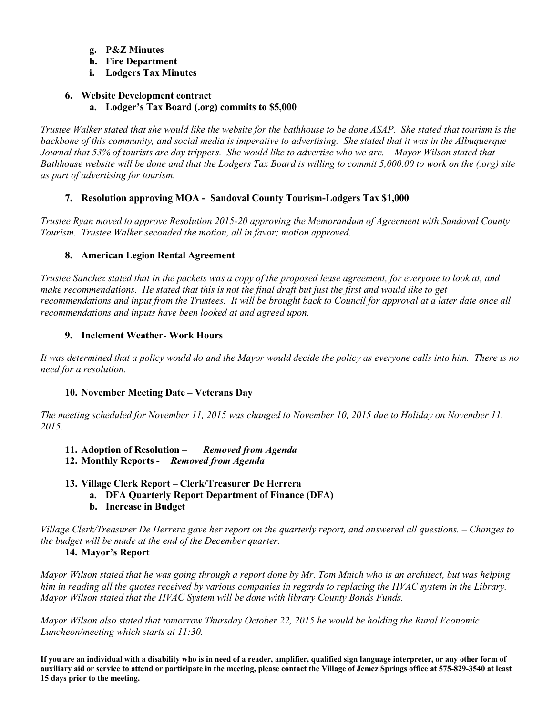- **g. P&Z Minutes**
- **h. Fire Department**
- **i. Lodgers Tax Minutes**

# **6. Website Development contract a. Lodger's Tax Board (.org) commits to \$5,000**

*Trustee Walker stated that she would like the website for the bathhouse to be done ASAP. She stated that tourism is the backbone of this community, and social media is imperative to advertising. She stated that it was in the Albuquerque Journal that 53% of tourists are day trippers. She would like to advertise who we are. Mayor Wilson stated that Bathhouse website will be done and that the Lodgers Tax Board is willing to commit 5,000.00 to work on the (.org) site as part of advertising for tourism.* 

# **7. Resolution approving MOA - Sandoval County Tourism-Lodgers Tax \$1,000**

*Trustee Ryan moved to approve Resolution 2015-20 approving the Memorandum of Agreement with Sandoval County Tourism. Trustee Walker seconded the motion, all in favor; motion approved.* 

# **8. American Legion Rental Agreement**

*Trustee Sanchez stated that in the packets was a copy of the proposed lease agreement, for everyone to look at, and make recommendations. He stated that this is not the final draft but just the first and would like to get recommendations and input from the Trustees. It will be brought back to Council for approval at a later date once all recommendations and inputs have been looked at and agreed upon.* 

# **9. Inclement Weather- Work Hours**

*It was determined that a policy would do and the Mayor would decide the policy as everyone calls into him. There is no need for a resolution.* 

# **10. November Meeting Date – Veterans Day**

*The meeting scheduled for November 11, 2015 was changed to November 10, 2015 due to Holiday on November 11, 2015.* 

- **11. Adoption of Resolution** *Removed from Agenda*
- **12. Monthly Reports** *Removed from Agenda*
- **13. Village Clerk Report Clerk/Treasurer De Herrera** 
	- **a. DFA Quarterly Report Department of Finance (DFA)**
	- **b. Increase in Budget**

*Village Clerk/Treasurer De Herrera gave her report on the quarterly report, and answered all questions. – Changes to the budget will be made at the end of the December quarter.* 

# **14. Mayor's Report**

*Mayor Wilson stated that he was going through a report done by Mr. Tom Mnich who is an architect, but was helping him in reading all the quotes received by various companies in regards to replacing the HVAC system in the Library. Mayor Wilson stated that the HVAC System will be done with library County Bonds Funds.* 

*Mayor Wilson also stated that tomorrow Thursday October 22, 2015 he would be holding the Rural Economic Luncheon/meeting which starts at 11:30.* 

**If you are an individual with a disability who is in need of a reader, amplifier, qualified sign language interpreter, or any other form of auxiliary aid or service to attend or participate in the meeting, please contact the Village of Jemez Springs office at 575-829-3540 at least 15 days prior to the meeting.**